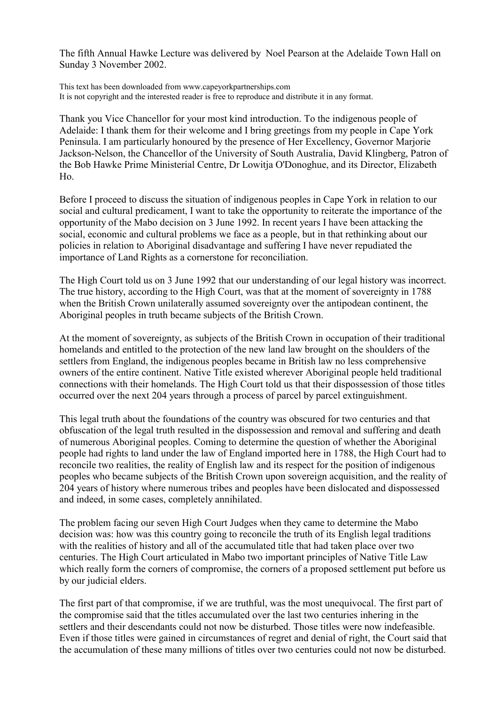The fifth Annual Hawke Lecture was delivered by Noel Pearson at the Adelaide Town Hall on Sunday 3 November 2002.

This text has been downloaded from www.capeyorkpartnerships.com It is not copyright and the interested reader is free to reproduce and distribute it in any format.

Thank you Vice Chancellor for your most kind introduction. To the indigenous people of Adelaide: I thank them for their welcome and I bring greetings from my people in Cape York Peninsula. I am particularly honoured by the presence of Her Excellency, Governor Marjorie Jackson-Nelson, the Chancellor of the University of South Australia, David Klingberg, Patron of the Bob Hawke Prime Ministerial Centre, Dr Lowitja O'Donoghue, and its Director, Elizabeth Ho.

Before I proceed to discuss the situation of indigenous peoples in Cape York in relation to our social and cultural predicament, I want to take the opportunity to reiterate the importance of the opportunity of the Mabo decision on 3 June 1992. In recent years I have been attacking the social, economic and cultural problems we face as a people, but in that rethinking about our policies in relation to Aboriginal disadvantage and suffering I have never repudiated the importance of Land Rights as a cornerstone for reconciliation.

The High Court told us on 3 June 1992 that our understanding of our legal history was incorrect. The true history, according to the High Court, was that at the moment of sovereignty in 1788 when the British Crown unilaterally assumed sovereignty over the antipodean continent, the Aboriginal peoples in truth became subjects of the British Crown.

At the moment of sovereignty, as subjects of the British Crown in occupation of their traditional homelands and entitled to the protection of the new land law brought on the shoulders of the settlers from England, the indigenous peoples became in British law no less comprehensive owners of the entire continent. Native Title existed wherever Aboriginal people held traditional connections with their homelands. The High Court told us that their dispossession of those titles occurred over the next 204 years through a process of parcel by parcel extinguishment.

This legal truth about the foundations of the country was obscured for two centuries and that obfuscation of the legal truth resulted in the dispossession and removal and suffering and death of numerous Aboriginal peoples. Coming to determine the question of whether the Aboriginal people had rights to land under the law of England imported here in 1788, the High Court had to reconcile two realities, the reality of English law and its respect for the position of indigenous peoples who became subjects of the British Crown upon sovereign acquisition, and the reality of 204 years of history where numerous tribes and peoples have been dislocated and dispossessed and indeed, in some cases, completely annihilated.

The problem facing our seven High Court Judges when they came to determine the Mabo decision was: how was this country going to reconcile the truth of its English legal traditions with the realities of history and all of the accumulated title that had taken place over two centuries. The High Court articulated in Mabo two important principles of Native Title Law which really form the corners of compromise, the corners of a proposed settlement put before us by our judicial elders.

The first part of that compromise, if we are truthful, was the most unequivocal. The first part of the compromise said that the titles accumulated over the last two centuries inhering in the settlers and their descendants could not now be disturbed. Those titles were now indefeasible. Even if those titles were gained in circumstances of regret and denial of right, the Court said that the accumulation of these many millions of titles over two centuries could not now be disturbed.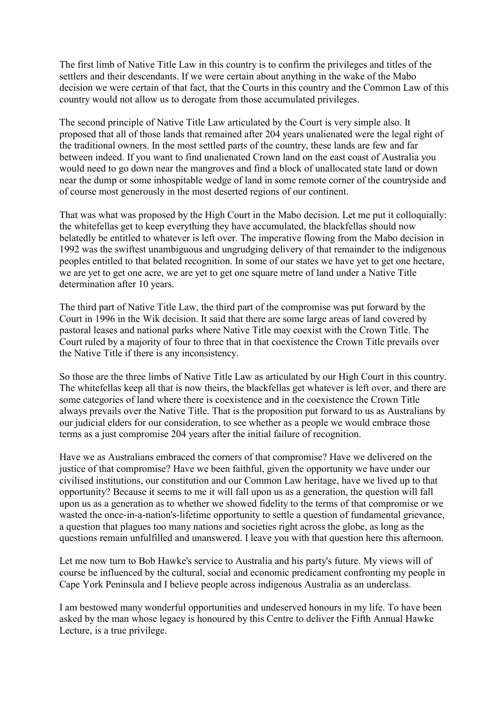The first limb of Native Title Law in this country is to confirm the privileges and titles of the settlers and their descendants. If we were certain about anything in the wake of the Mabo decision we were certain of that fact, that the Courts in this country and the Common Law of this country would not allow us to derogate from those accumulated privileges.

The second principle of Native Title Law articulated by the Court is very simple also. It proposed that all of those lands that remained after 204 years unalienated were the legal right of the traditional owners. In the most settled parts of the country, these lands are few and far between indeed. If you want to find unalienated Crown land on the east coast of Australia you would need to go down near the mangroves and find a block of unallocated state land or down near the dump or some inhospitable wedge of land in some remote corner of the countryside and of course most generously in the most deserted regions of our continent.

That was what was proposed by the High Court in the Mabo decision. Let me put it colloquially: the whitefellas get to keep everything they have accumulated, the blackfellas should now belatedly be entitled to whatever is left over. The imperative flowing from the Mabo decision in 1992 was the swiftest unambiguous and ungrudging delivery of that remainder to the indigenous peoples entitled to that belated recognition. In some of our states we have yet to get one hectare, we are yet to get one acre, we are yet to get one square metre of land under a Native Title determination after 10 years.

The third part of Native Title Law, the third part of the compromise was put forward by the Court in 1996 in the Wik decision. It said that there are some large areas of land covered by pastoral leases and national parks where Native Title may coexist with the Crown Title. The Court ruled by a majority of four to three that in that coexistence the Crown Title prevails over the Native Title if there is any inconsistency.

So those are the three limbs of Native Title Law as articulated by our High Court in this country. The whitefellas keep all that is now theirs, the blackfellas get whatever is left over, and there are some categories of land where there is coexistence and in the coexistence the Crown Title always prevails over the Native Title. That is the proposition put forward to us as Australians by our judicial elders for our consideration, to see whether as a people we would embrace those terms as a just compromise 204 years after the initial failure of recognition.

Have we as Australians embraced the corners of that compromise? Have we delivered on the justice of that compromise? Have we been faithful, given the opportunity we have under our civilised institutions, our constitution and our Common Law heritage, have we lived up to that opportunity? Because it seems to me it will fall upon us as a generation, the question will fall upon us as a generation as to whether we showed fidelity to the terms of that compromise or we wasted the once-in-a-nation's-lifetime opportunity to settle a question of fundamental grievance, a question that plagues too many nations and societies right across the globe, as long as the questions remain unfulfilled and unanswered. I leave you with that question here this afternoon.

Let me now turn to Bob Hawke's service to Australia and his party's future. My views will of course be influenced by the cultural, social and economic predicament confronting my people in Cape York Peninsula and I believe people across indigenous Australia as an underclass.

I am bestowed many wonderful opportunities and undeserved honours in my life. To have been asked by the man whose legacy is honoured by this Centre to deliver the Fifth Annual Hawke Lecture, is a true privilege.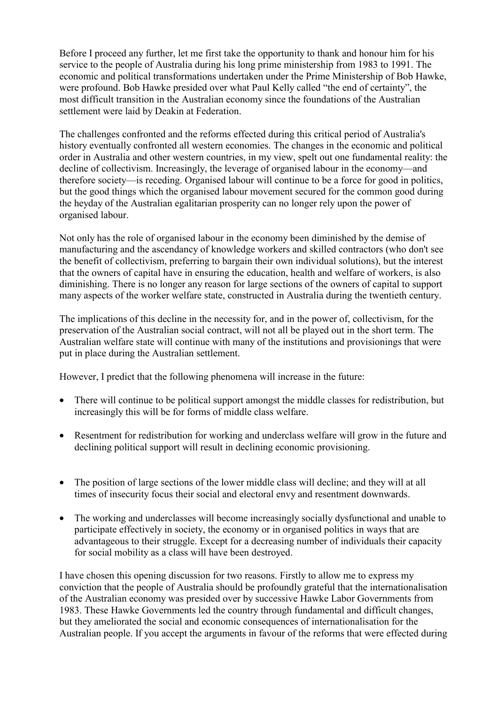Before I proceed any further, let me first take the opportunity to thank and honour him for his service to the people of Australia during his long prime ministership from 1983 to 1991. The economic and political transformations undertaken under the Prime Ministership of Bob Hawke, were profound. Bob Hawke presided over what Paul Kelly called "the end of certainty", the most difficult transition in the Australian economy since the foundations of the Australian settlement were laid by Deakin at Federation.

The challenges confronted and the reforms effected during this critical period of Australia's history eventually confronted all western economies. The changes in the economic and political order in Australia and other western countries, in my view, spelt out one fundamental reality: the decline of collectivism. Increasingly, the leverage of organised labour in the economy—and therefore society—is receding. Organised labour will continue to be a force for good in politics, but the good things which the organised labour movement secured for the common good during the heyday of the Australian egalitarian prosperity can no longer rely upon the power of organised labour.

Not only has the role of organised labour in the economy been diminished by the demise of manufacturing and the ascendancy of knowledge workers and skilled contractors (who don't see the benefit of collectivism, preferring to bargain their own individual solutions), but the interest that the owners of capital have in ensuring the education, health and welfare of workers, is also diminishing. There is no longer any reason for large sections of the owners of capital to support many aspects of the worker welfare state, constructed in Australia during the twentieth century.

The implications of this decline in the necessity for, and in the power of, collectivism, for the preservation of the Australian social contract, will not all be played out in the short term. The Australian welfare state will continue with many of the institutions and provisionings that were put in place during the Australian settlement.

However, I predict that the following phenomena will increase in the future:

- There will continue to be political support amongst the middle classes for redistribution, but increasingly this will be for forms of middle class welfare.
- Resentment for redistribution for working and underclass welfare will grow in the future and declining political support will result in declining economic provisioning.
- The position of large sections of the lower middle class will decline; and they will at all times of insecurity focus their social and electoral envy and resentment downwards.
- The working and underclasses will become increasingly socially dysfunctional and unable to participate effectively in society, the economy or in organised politics in ways that are advantageous to their struggle. Except for a decreasing number of individuals their capacity for social mobility as a class will have been destroyed.

I have chosen this opening discussion for two reasons. Firstly to allow me to express my conviction that the people of Australia should be profoundly grateful that the internationalisation of the Australian economy was presided over by successive Hawke Labor Governments from 1983. These Hawke Governments led the country through fundamental and difficult changes, but they ameliorated the social and economic consequences of internationalisation for the Australian people. If you accept the arguments in favour of the reforms that were effected during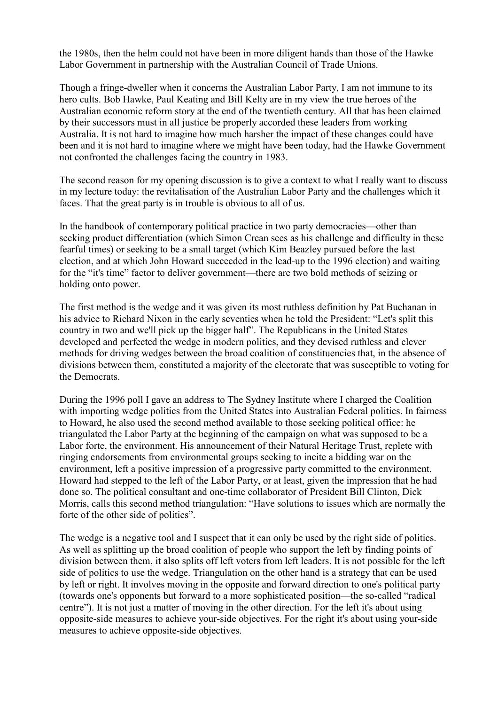the 1980s, then the helm could not have been in more diligent hands than those of the Hawke Labor Government in partnership with the Australian Council of Trade Unions.

Though a fringe-dweller when it concerns the Australian Labor Party, I am not immune to its hero cults. Bob Hawke, Paul Keating and Bill Kelty are in my view the true heroes of the Australian economic reform story at the end of the twentieth century. All that has been claimed by their successors must in all justice be properly accorded these leaders from working Australia. It is not hard to imagine how much harsher the impact of these changes could have been and it is not hard to imagine where we might have been today, had the Hawke Government not confronted the challenges facing the country in 1983.

The second reason for my opening discussion is to give a context to what I really want to discuss in my lecture today: the revitalisation of the Australian Labor Party and the challenges which it faces. That the great party is in trouble is obvious to all of us.

In the handbook of contemporary political practice in two party democracies—other than seeking product differentiation (which Simon Crean sees as his challenge and difficulty in these fearful times) or seeking to be a small target (which Kim Beazley pursued before the last election, and at which John Howard succeeded in the lead-up to the 1996 election) and waiting for the "it's time" factor to deliver government—there are two bold methods of seizing or holding onto power.

The first method is the wedge and it was given its most ruthless definition by Pat Buchanan in his advice to Richard Nixon in the early seventies when he told the President: "Let's split this country in two and we'll pick up the bigger half". The Republicans in the United States developed and perfected the wedge in modern politics, and they devised ruthless and clever methods for driving wedges between the broad coalition of constituencies that, in the absence of divisions between them, constituted a majority of the electorate that was susceptible to voting for the Democrats.

During the 1996 poll I gave an address to The Sydney Institute where I charged the Coalition with importing wedge politics from the United States into Australian Federal politics. In fairness to Howard, he also used the second method available to those seeking political office: he triangulated the Labor Party at the beginning of the campaign on what was supposed to be a Labor forte, the environment. His announcement of their Natural Heritage Trust, replete with ringing endorsements from environmental groups seeking to incite a bidding war on the environment, left a positive impression of a progressive party committed to the environment. Howard had stepped to the left of the Labor Party, or at least, given the impression that he had done so. The political consultant and one-time collaborator of President Bill Clinton, Dick Morris, calls this second method triangulation: "Have solutions to issues which are normally the forte of the other side of politics".

The wedge is a negative tool and I suspect that it can only be used by the right side of politics. As well as splitting up the broad coalition of people who support the left by finding points of division between them, it also splits off left voters from left leaders. It is not possible for the left side of politics to use the wedge. Triangulation on the other hand is a strategy that can be used by left or right. It involves moving in the opposite and forward direction to one's political party (towards one's opponents but forward to a more sophisticated position—the so-called "radical centre"). It is not just a matter of moving in the other direction. For the left it's about using opposite-side measures to achieve your-side objectives. For the right it's about using your-side measures to achieve opposite-side objectives.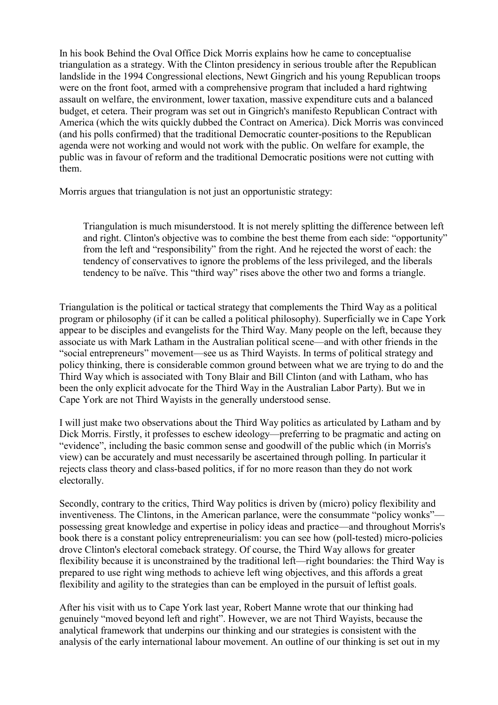In his book Behind the Oval Office Dick Morris explains how he came to conceptualise triangulation as a strategy. With the Clinton presidency in serious trouble after the Republican landslide in the 1994 Congressional elections, Newt Gingrich and his young Republican troops were on the front foot, armed with a comprehensive program that included a hard rightwing assault on welfare, the environment, lower taxation, massive expenditure cuts and a balanced budget, et cetera. Their program was set out in Gingrich's manifesto Republican Contract with America (which the wits quickly dubbed the Contract on America). Dick Morris was convinced (and his polls confirmed) that the traditional Democratic counter-positions to the Republican agenda were not working and would not work with the public. On welfare for example, the public was in favour of reform and the traditional Democratic positions were not cutting with them.

Morris argues that triangulation is not just an opportunistic strategy:

Triangulation is much misunderstood. It is not merely splitting the difference between left and right. Clinton's objective was to combine the best theme from each side: "opportunity" from the left and "responsibility" from the right. And he rejected the worst of each: the tendency of conservatives to ignore the problems of the less privileged, and the liberals tendency to be naïve. This "third way" rises above the other two and forms a triangle.

Triangulation is the political or tactical strategy that complements the Third Way as a political program or philosophy (if it can be called a political philosophy). Superficially we in Cape York appear to be disciples and evangelists for the Third Way. Many people on the left, because they associate us with Mark Latham in the Australian political scene—and with other friends in the "social entrepreneurs" movement—see us as Third Wayists. In terms of political strategy and policy thinking, there is considerable common ground between what we are trying to do and the Third Way which is associated with Tony Blair and Bill Clinton (and with Latham, who has been the only explicit advocate for the Third Way in the Australian Labor Party). But we in Cape York are not Third Wayists in the generally understood sense.

I will just make two observations about the Third Way politics as articulated by Latham and by Dick Morris. Firstly, it professes to eschew ideology—preferring to be pragmatic and acting on "evidence", including the basic common sense and goodwill of the public which (in Morris's view) can be accurately and must necessarily be ascertained through polling. In particular it rejects class theory and class-based politics, if for no more reason than they do not work electorally.

Secondly, contrary to the critics, Third Way politics is driven by (micro) policy flexibility and inventiveness. The Clintons, in the American parlance, were the consummate "policy wonks" possessing great knowledge and expertise in policy ideas and practice—and throughout Morris's book there is a constant policy entrepreneurialism: you can see how (poll-tested) micro-policies drove Clinton's electoral comeback strategy. Of course, the Third Way allows for greater flexibility because it is unconstrained by the traditional left—right boundaries: the Third Way is prepared to use right wing methods to achieve left wing objectives, and this affords a great flexibility and agility to the strategies than can be employed in the pursuit of leftist goals.

After his visit with us to Cape York last year, Robert Manne wrote that our thinking had genuinely "moved beyond left and right". However, we are not Third Wayists, because the analytical framework that underpins our thinking and our strategies is consistent with the analysis of the early international labour movement. An outline of our thinking is set out in my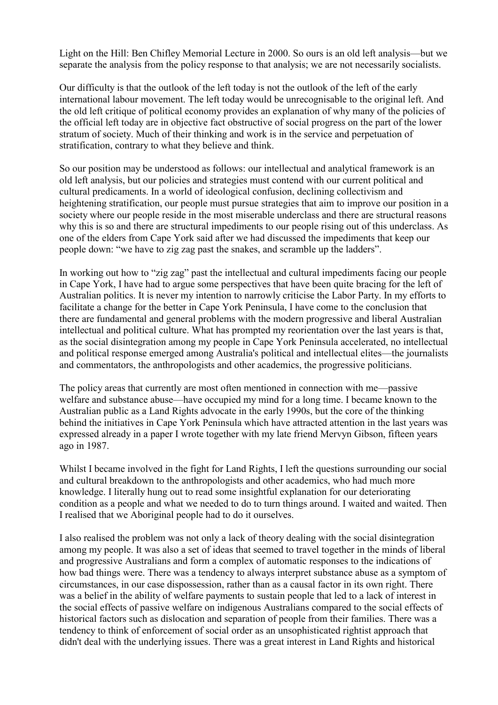Light on the Hill: Ben Chifley Memorial Lecture in 2000. So ours is an old left analysis—but we separate the analysis from the policy response to that analysis; we are not necessarily socialists.

Our difficulty is that the outlook of the left today is not the outlook of the left of the early international labour movement. The left today would be unrecognisable to the original left. And the old left critique of political economy provides an explanation of why many of the policies of the official left today are in objective fact obstructive of social progress on the part of the lower stratum of society. Much of their thinking and work is in the service and perpetuation of stratification, contrary to what they believe and think.

So our position may be understood as follows: our intellectual and analytical framework is an old left analysis, but our policies and strategies must contend with our current political and cultural predicaments. In a world of ideological confusion, declining collectivism and heightening stratification, our people must pursue strategies that aim to improve our position in a society where our people reside in the most miserable underclass and there are structural reasons why this is so and there are structural impediments to our people rising out of this underclass. As one of the elders from Cape York said after we had discussed the impediments that keep our people down: "we have to zig zag past the snakes, and scramble up the ladders".

In working out how to "zig zag" past the intellectual and cultural impediments facing our people in Cape York, I have had to argue some perspectives that have been quite bracing for the left of Australian politics. It is never my intention to narrowly criticise the Labor Party. In my efforts to facilitate a change for the better in Cape York Peninsula, I have come to the conclusion that there are fundamental and general problems with the modern progressive and liberal Australian intellectual and political culture. What has prompted my reorientation over the last years is that, as the social disintegration among my people in Cape York Peninsula accelerated, no intellectual and political response emerged among Australia's political and intellectual elites—the journalists and commentators, the anthropologists and other academics, the progressive politicians.

The policy areas that currently are most often mentioned in connection with me—passive welfare and substance abuse—have occupied my mind for a long time. I became known to the Australian public as a Land Rights advocate in the early 1990s, but the core of the thinking behind the initiatives in Cape York Peninsula which have attracted attention in the last years was expressed already in a paper I wrote together with my late friend Mervyn Gibson, fifteen years ago in 1987.

Whilst I became involved in the fight for Land Rights, I left the questions surrounding our social and cultural breakdown to the anthropologists and other academics, who had much more knowledge. I literally hung out to read some insightful explanation for our deteriorating condition as a people and what we needed to do to turn things around. I waited and waited. Then I realised that we Aboriginal people had to do it ourselves.

I also realised the problem was not only a lack of theory dealing with the social disintegration among my people. It was also a set of ideas that seemed to travel together in the minds of liberal and progressive Australians and form a complex of automatic responses to the indications of how bad things were. There was a tendency to always interpret substance abuse as a symptom of circumstances, in our case dispossession, rather than as a causal factor in its own right. There was a belief in the ability of welfare payments to sustain people that led to a lack of interest in the social effects of passive welfare on indigenous Australians compared to the social effects of historical factors such as dislocation and separation of people from their families. There was a tendency to think of enforcement of social order as an unsophisticated rightist approach that didn't deal with the underlying issues. There was a great interest in Land Rights and historical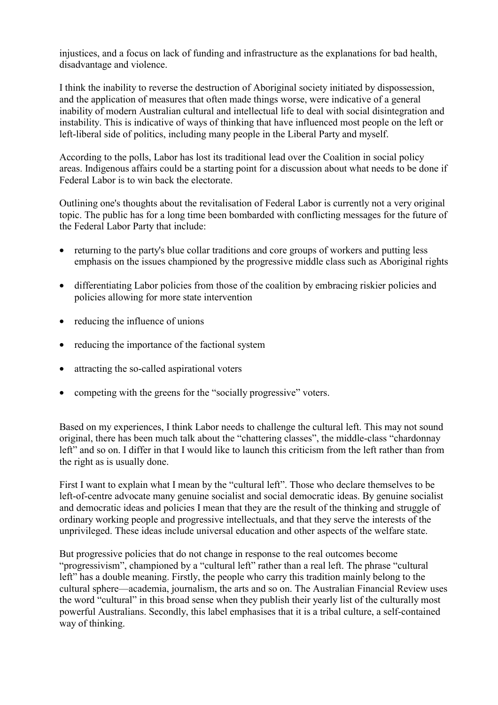injustices, and a focus on lack of funding and infrastructure as the explanations for bad health, disadvantage and violence.

I think the inability to reverse the destruction of Aboriginal society initiated by dispossession, and the application of measures that often made things worse, were indicative of a general inability of modern Australian cultural and intellectual life to deal with social disintegration and instability. This is indicative of ways of thinking that have influenced most people on the left or left-liberal side of politics, including many people in the Liberal Party and myself.

According to the polls, Labor has lost its traditional lead over the Coalition in social policy areas. Indigenous affairs could be a starting point for a discussion about what needs to be done if Federal Labor is to win back the electorate.

Outlining one's thoughts about the revitalisation of Federal Labor is currently not a very original topic. The public has for a long time been bombarded with conflicting messages for the future of the Federal Labor Party that include:

- returning to the party's blue collar traditions and core groups of workers and putting less emphasis on the issues championed by the progressive middle class such as Aboriginal rights
- differentiating Labor policies from those of the coalition by embracing riskier policies and policies allowing for more state intervention
- reducing the influence of unions
- reducing the importance of the factional system
- attracting the so-called aspirational voters
- competing with the greens for the "socially progressive" voters.

Based on my experiences, I think Labor needs to challenge the cultural left. This may not sound original, there has been much talk about the "chattering classes", the middle-class "chardonnay left" and so on. I differ in that I would like to launch this criticism from the left rather than from the right as is usually done.

First I want to explain what I mean by the "cultural left". Those who declare themselves to be left-of-centre advocate many genuine socialist and social democratic ideas. By genuine socialist and democratic ideas and policies I mean that they are the result of the thinking and struggle of ordinary working people and progressive intellectuals, and that they serve the interests of the unprivileged. These ideas include universal education and other aspects of the welfare state.

But progressive policies that do not change in response to the real outcomes become "progressivism", championed by a "cultural left" rather than a real left. The phrase "cultural left" has a double meaning. Firstly, the people who carry this tradition mainly belong to the cultural sphere—academia, journalism, the arts and so on. The Australian Financial Review uses the word "cultural" in this broad sense when they publish their yearly list of the culturally most powerful Australians. Secondly, this label emphasises that it is a tribal culture, a self-contained way of thinking.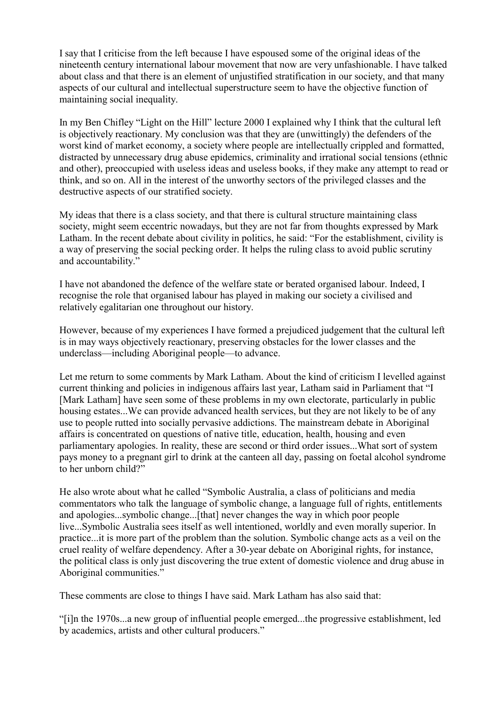I say that I criticise from the left because I have espoused some of the original ideas of the nineteenth century international labour movement that now are very unfashionable. I have talked about class and that there is an element of unjustified stratification in our society, and that many aspects of our cultural and intellectual superstructure seem to have the objective function of maintaining social inequality.

In my Ben Chifley "Light on the Hill" lecture 2000 I explained why I think that the cultural left is objectively reactionary. My conclusion was that they are (unwittingly) the defenders of the worst kind of market economy, a society where people are intellectually crippled and formatted, distracted by unnecessary drug abuse epidemics, criminality and irrational social tensions (ethnic and other), preoccupied with useless ideas and useless books, if they make any attempt to read or think, and so on. All in the interest of the unworthy sectors of the privileged classes and the destructive aspects of our stratified society.

My ideas that there is a class society, and that there is cultural structure maintaining class society, might seem eccentric nowadays, but they are not far from thoughts expressed by Mark Latham. In the recent debate about civility in politics, he said: "For the establishment, civility is a way of preserving the social pecking order. It helps the ruling class to avoid public scrutiny and accountability."

I have not abandoned the defence of the welfare state or berated organised labour. Indeed, I recognise the role that organised labour has played in making our society a civilised and relatively egalitarian one throughout our history.

However, because of my experiences I have formed a prejudiced judgement that the cultural left is in may ways objectively reactionary, preserving obstacles for the lower classes and the underclass—including Aboriginal people—to advance.

Let me return to some comments by Mark Latham. About the kind of criticism I levelled against current thinking and policies in indigenous affairs last year, Latham said in Parliament that "I [Mark Latham] have seen some of these problems in my own electorate, particularly in public housing estates...We can provide advanced health services, but they are not likely to be of any use to people rutted into socially pervasive addictions. The mainstream debate in Aboriginal affairs is concentrated on questions of native title, education, health, housing and even parliamentary apologies. In reality, these are second or third order issues...What sort of system pays money to a pregnant girl to drink at the canteen all day, passing on foetal alcohol syndrome to her unborn child?"

He also wrote about what he called "Symbolic Australia, a class of politicians and media commentators who talk the language of symbolic change, a language full of rights, entitlements and apologies...symbolic change...[that] never changes the way in which poor people live...Symbolic Australia sees itself as well intentioned, worldly and even morally superior. In practice...it is more part of the problem than the solution. Symbolic change acts as a veil on the cruel reality of welfare dependency. After a 30-year debate on Aboriginal rights, for instance, the political class is only just discovering the true extent of domestic violence and drug abuse in Aboriginal communities."

These comments are close to things I have said. Mark Latham has also said that:

"[i]n the 1970s...a new group of influential people emerged...the progressive establishment, led by academics, artists and other cultural producers."